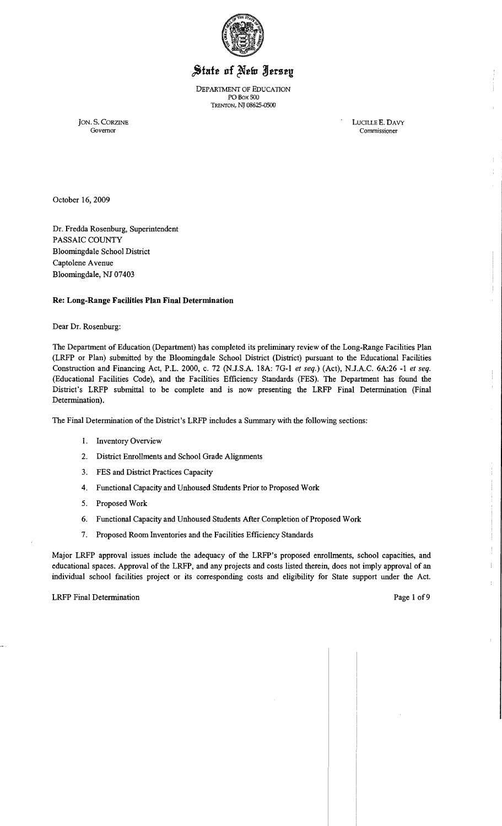

# State of New Jersey

DEPARTMENT OF EDUCATION PO Box SOO TRENTON, NJ 08625-0500

JON. S. CORZINE LUCILLE E. DAVY Governor Commissioner Governor Commissioner

October 16, 2009

Dr. Fredda Rosenburg, Superintendent PASSAIC COUNTY Bloomingdale School District Captolene Avenue Bloomingdale, NJ 07403

# Re: Long-Range Facilities Plan Final Determination

Dear Dr. Rosenburg:

The Department of Education (Department) has completed its preliminary review of the Long-Range Facilities Plan (LRFP or Plan) submitted by the Bloomingdale School District (District) pursuant to the Educational Facilities Construction and Financing Act, P.L. 2000, c. 72 (N.J.S.A. *18A:* 7G-I *et seq.)* (Act), N.J.A.C. *6A:26* -1 *et seq.*  (Educational Facilities Code), and the Facilities Efficiency Standards (FES). The Department has found the District's LRFP submittal to be complete and is now presenting the LRFP Final Determination (Final Determination).

The Final Determination of the District's LRFP includes a Summary with the following sections:

- 1. Inventory Overview
- 2. District Emollments and School Grade Alignments
- 3. FES and District Practices Capacity
- 4. Functional Capacity and Unhoused Students Prior to Proposed Work
- 5. Proposed Work
- 6. Functional Capacity and Unhoused Students After Completion of Proposed Work
- 7. Proposed Room Inventories and the Facilities Efficiency Standards

Major LRFP approval issues include the adequacy of the LRFP's proposed emollments, school capacities, and educational spaces. Approval of the LRFP, and any projects and costs listed therein, does not imply approval of an individual school facilities project or its corresponding costs and eligibility for State support under the Act.

#### LRFP Final Determination Page 1 of9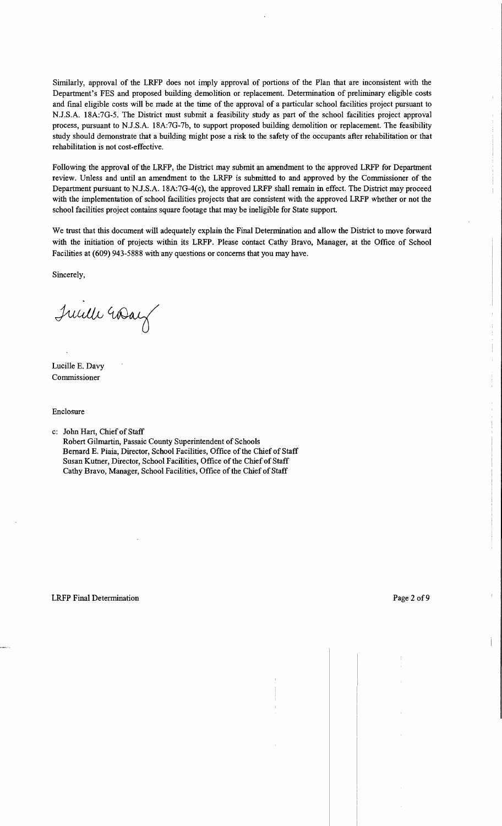Similarly, approval of the LRFP does not imply approval of portions of the Plan that are inconsistent with the Department's FES and proposed building demolition or replacement. Determination of preliminary eligible costs and final eligible costs will be made at the time of the approval of a particular school facilities project pursuant to N.J.S.A. 18A:7G-5. The District must submit a feasibility study as part of the school facilities project approval process, pursuant to N.J.S.A. 18A:7G-7b, to support proposed building demolition or replacement. The feasibility study should demonstrate that a building might pose a risk to the safety of the occupants after rehabilitation or that rehabilitation is not cost-effective.

Following the approval of the LRFP, the District may submit an amendment to the approved LRFP for Department review. Unless and until an amendment to the LRFP is submitted to and approved by the Commissioner of the Department pursuant to NJ.S.A. 18A:7G-4(c), the approved LRFP shall remain in effect. The District may proceed with the implementation of school facilities projects that are consistent with the approved LRFP whether or not the school facilities project contains square footage that may be ineligible for State support.

We trust that this document will adequately explain the Final Determination and allow the District to move forward with the initiation of projects within its LRFP. Please contact Cathy Bravo, Manager, at the Office of School Facilities at (609) 943-5888 with any questions or concerns that you may have.

Sincerely,

June 40aux

Lucille E. Davy Commissioner

Enclosure

c: John Hart, Chief of Staff

Robert Gilmartin, Passaic County Superintendent of Schools Bernard E. Piaia, Director, School Facilities, Office of the Chief of Staff Susan Kutner, Director, School Facilities, Office of the Chief of Staff Cathy Bravo, Manager, School Facilities, Office of the Chief of Staff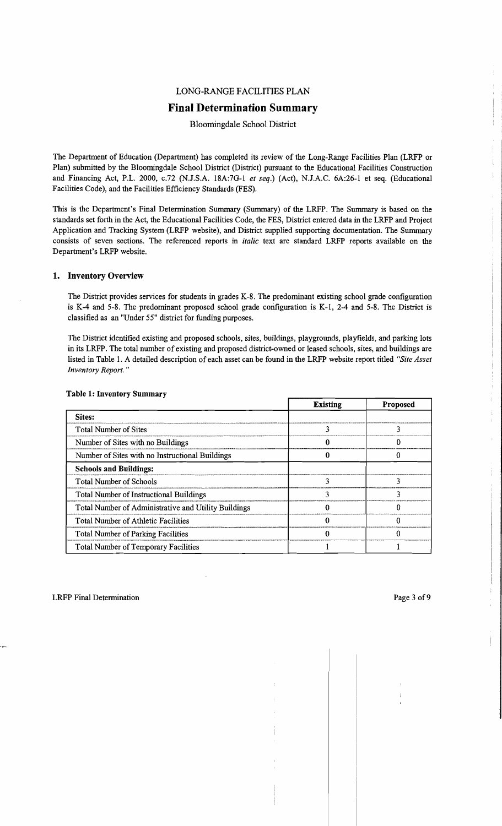#### LONG-RANGE FACILITIES PLAN

# **Final Determination Summary**

#### Bloomingdale School District

The Department of Education (Department) has completed its review of the Long-Range Facilities Plan (LRFP or Plan) submitted by the Bloomingdale School District (District) pursuant to the Educational Facilities Construction and Financing Act, P.L. 2000, *c.*72 (N.J.S.A. 18A:7G-1 *et seq.*) (Act), N.J.A.C. 6A:26-1 et seq. (Educational Facilities Code), and the Facilities Efficiency Standards (FES).

This is the Department's Final Determination Summary (Summary) of the LRFP. The Summary is based on the standards set forth in the Act, the Educational Facilities Code, the FES, District entered data in the LRFP and Project Application and Tracking System (LRFP website), and District supplied supporting documentation. The Summary consists of seven sections. The referenced reports in *italic* text are standard LRFP reports available on the Department's LRFP website.

#### 1. Inventory Overview

The District provides services for students in grades K-8. The predominant existing school grade configuration is K-4 and 5-8. The predominant proposed school grade corifiguration is K-1, 2-4 and 5-8. The District is classified as an "Under 55" district for funding purposes.

The District identified existing and proposed schools, sites, buildings, playgrounds, playfields, and parking lots in its LRFP. The total number of existing and proposed district-owned or leased schools, sites, and buildings are listed in Table 1. A detailed description of each asset can be found in the LRFP website report titled *"Site Asset Inventory Report. "* 

|                                                      | <b>Existing</b> | <b>Proposed</b> |
|------------------------------------------------------|-----------------|-----------------|
| <b>Sites:</b>                                        |                 |                 |
| <b>Total Number of Sites</b>                         |                 |                 |
| Number of Sites with no Buildings                    |                 |                 |
| Number of Sites with no Instructional Buildings      |                 |                 |
| <b>Schools and Buildings:</b>                        |                 |                 |
| <b>Total Number of Schools</b>                       |                 |                 |
| <b>Total Number of Instructional Buildings</b>       |                 | 2               |
| Total Number of Administrative and Utility Buildings |                 |                 |
| <b>Total Number of Athletic Facilities</b>           |                 |                 |
| Total Number of Parking Facilities                   |                 |                 |
| <b>Total Number of Temporary Facilities</b>          |                 |                 |

#### Table 1: Inventory Summary

 $\bar{\rm i}$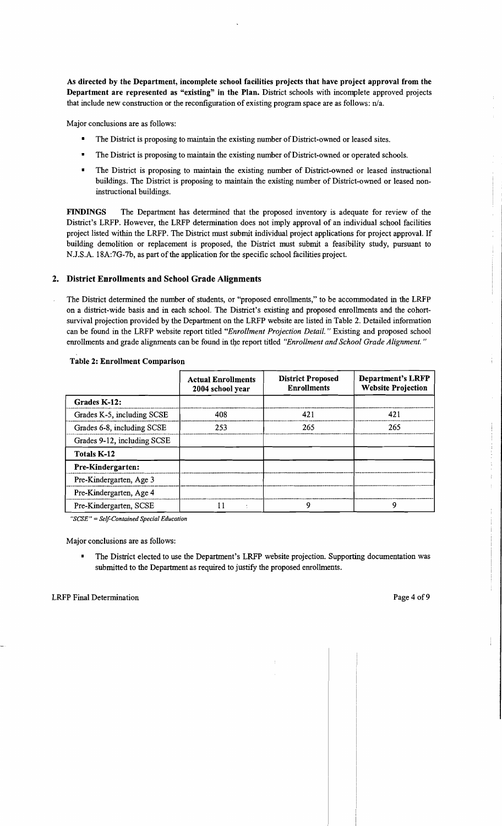As directed by the Department, incomplete school facilities projects that have project approval from the Department are represented as "existing" in the Plan. District schools with incomplete approved projects that include new construction or the reconfiguration of existing program space are as follows: n/a.

Major conclusions are as follows:

- The District is proposing to maintain the existing number of District-owned or leased sites.
- The District is proposing to maintain the existing number of District-owned or operated schools.
- The District is proposing to maintain the existing number of District-owned or leased instructional buildings. The District is proposing to maintain the existing number of District-owned or leased noninstructional buildings.

FINDINGS The Department has determined that the proposed inventory is adequate for review of the District's LRFP. However, the LRFP determination does not imply approval of an individual school facilities project listed within the LRFP. The District must submit individual project applications for project approval. If building demolition or replacement is proposed, the District must submit a feasibility study, pursuant to NJ.S.A. 18A:7G-7b, as part of the application for the specific school facilities project.

# 2. District Enrollments and School Grade Alignments

The District determined the number of students, or "proposed enrollments," to be accommodated in the LRFP on a district-wide basis and in each schooL The District's existing and proposed enrollments and the cohortsurvival projection provided by the Department on the LRFP website are listed in Table 2. Detailed information can be found in the LRFP website report titled *"Enrollment Projection Detail.* " Existing and proposed school enrollments and grade alignments can be found in the report titled *"Enrollment and School Grade Alignment."* 

|  |  |  | <b>Table 2: Enrollment Comparison</b> |
|--|--|--|---------------------------------------|
|--|--|--|---------------------------------------|

|                             | <b>Actual Enrollments</b><br>2004 school year | <b>District Proposed</b><br><b>Enrollments</b> | <b>Department's LRFP</b><br><b>Website Projection</b> |
|-----------------------------|-----------------------------------------------|------------------------------------------------|-------------------------------------------------------|
| Grades K-12:                |                                               |                                                |                                                       |
| Grades K-5, including SCSE  | 408                                           | 421                                            | 421                                                   |
| Grades 6-8, including SCSE  | 253                                           | 265                                            | 265                                                   |
| Grades 9-12, including SCSE |                                               |                                                |                                                       |
| <b>Totals K-12</b>          |                                               |                                                |                                                       |
| Pre-Kindergarten:           |                                               |                                                |                                                       |
| Pre-Kindergarten, Age 3     |                                               |                                                |                                                       |
| Pre-Kindergarten, Age 4     |                                               |                                                |                                                       |
| Pre-Kindergarten, SCSE      |                                               | 9                                              | 9                                                     |

*"SCSE"* = *Self-Contained Special Education* 

Major conclusions are as follows:

The District elected to use the Department's LRFP website projection. Supporting documentation was submitted to the Department as required to justify the proposed enrollments.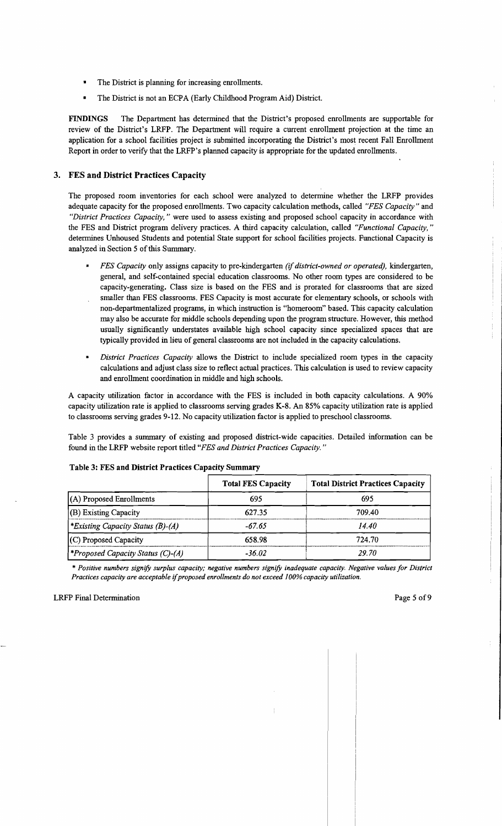- The District is planning for increasing enrollments.
- The District is not an ECPA (Early Childhood Program Aid) District.

FINDINGS The Department has determined that the District's proposed emollments are supportable for review of the District's LRFP. The Department will require a current emollment projection at the time an application for a school facilities project is submitted incorporating the District's most recent Fall Emollment Report in order to verify that the LRFP's planned capacity is appropriate for the updated emollments.

# 3. FES and District Practices Capacity

The proposed room inventories for each school were analyzed to determine whether the LRFP provides adequate capacity for the proposed emollments. Two capacity calculation methods, called *"FES Capacity"* and *"District Practices Capacity,* " were used to assess existing and proposed school capacity in accordance with the FES and District program delivery practices. A third capacity calculation, called *"Functional Capacity, "*  determines Unhoused Students and potential State support for school facilities projects. Functional Capacity is analyzed in Section 5 of this Summary.

- *FES Capacity* only assigns capacity to pre-kindergarten *(if district-owned or operated)*, kindergarten, general, and self-contained special education classrooms. No other room types are considered to be capacity-generating. Class size is based on the FES and is prorated for classrooms that are sized smaller than FES classrooms. FES Capacity is most accurate for elementary schools, or schools with non-departmentalized programs, in which instruction is "homeroom" based. This capacity calculation may also be accurate for middle schools depending upon the program structure. However, this method usually significantly understates available high school capacity since specialized spaces that are typically provided in lieu of general classrooms are not included in the capacity calculations.
- *District Practices Capacity* allows the District to include specialized room types in the capacity calculations and adjust class size to reflect actual practices. This calculation is used to review capacity and emollment coordination in middle and high schools.

A capacity utilization factor in accordance with the FES is included in both capacity calculations. A 90% capacity utilization rate is applied to classrooms serving grades K-8. An 85% capacity utilization rate is applied to classrooms serving grades 9-12. No capacity utilization factor is applied to preschool classrooms.

Table 3 provides a summary of existing and proposed district-wide capacities. Detailed information can be found in the LRFP website report titled *"FES and District Practices Capacity. "* 

|                                          | <b>Total FES Capacity</b> | <b>Total District Practices Capacity</b> |
|------------------------------------------|---------------------------|------------------------------------------|
| $(A)$ Proposed Enrollments               | 695                       | 695                                      |
| (B) Existing Capacity                    | 627.35                    | 709.40                                   |
| *Existing Capacity Status (B)-(A)        | $-67.65$                  | 14.40                                    |
| $(C)$ Proposed Capacity                  | 658.98                    | 724.70                                   |
| <b>*Proposed Capacity Status (C)-(A)</b> | $-36.02$                  | 29.70                                    |

# Table 3: FES and District Practices Capacity Summary

\* *Positive numbers signify surplus capacity; negative numbers signify inadequate capacity. Negative values for District Practices capacity are acceptable* if*proposed enrollments do not exceed* J*00% capacity utilization.* 

#### LRFP Final Determination **Page 5 of 9**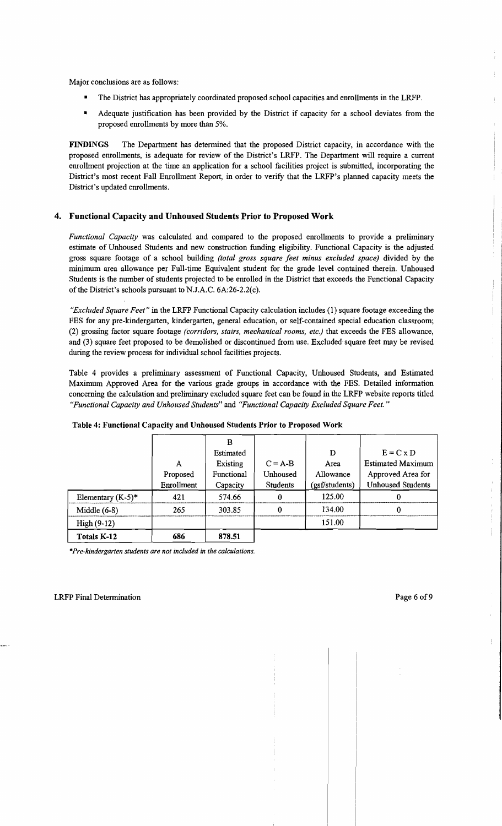Major conclusions are as follows:

- The District has appropriately coordinated proposed school capacities and enrollments in the LRFP.
- Adequate justification has been provided by the District if capacity for a school deviates from the proposed enrollments by more than 5%.

FINDINGS The Department has determined that the proposed District capacity, in accordance with the proposed enrollments, is adequate for review of the District's LRFP. The Department will require a current enrollment projection at the time an application for a school facilities project is submitted, incorporating the District's most recent Fall Enrollment Report, in order to verify that the LRFP's planned capacity meets the District's updated enrollments.

# 4. Functional Capacity and Unhoused Students Prior to Proposed Work

*Functional Capacity* was calculated and compared to the proposed enrollments to provide a preliminary estimate of Unhoused Students and new construction funding eligibility. Functional Capacity is the adjusted gross square footage of a school building *(total gross square feet minus excluded space)* divided by the minimum area allowance per Full-time Equivalent student for the grade level contained therein. Unhoused Students is the number of students projected to be enrolled in the District that exceeds the Functional Capacity of the District's schools pursuant to N.J.A.C.  $6A:26-2.2(c)$ .

*"Excluded Square Feet"* in the LRFP Functional Capacity calculation includes (1) square footage exceeding the FES for any pre-kindergarten, kindergarten, general education, or self-contained special education classroom; (2) grossing factor square footage *(corridors, stairs, mechanical rooms, etc.)* that exceeds the FES allowance, and (3) square feet proposed to be demolished or discontinued from use. Excluded square feet may be revised during the review process for individual school facilities projects.

Table 4 provides a preliminary assessment of Functional Capacity, Unhoused Students, and Estimated Maximum Approved Area for the various grade groups in accordance with the FES. Detailed information concerning the calculation and preliminary excluded square feet can be found in the LRFP website reports titled *"Functional Capacity and Unhoused Students"* and *"Functional Capacity Excluded Square Feet. "* 

|                      |            | B          |                 |                |                          |
|----------------------|------------|------------|-----------------|----------------|--------------------------|
|                      |            | Estimated  |                 | D              | $E = C x D$              |
|                      | A          | Existing   | $C = A-B$       | Area           | <b>Estimated Maximum</b> |
|                      | Proposed   | Functional | Unhoused        | Allowance      | Approved Area for        |
|                      | Enrollment | Capacity   | <b>Students</b> | (gsf/students) | <b>Unhoused Students</b> |
| Elementary $(K-5)^*$ | 421        | 574.66     | $\Omega$        | 125.00         |                          |
| Middle $(6-8)$       | 265        | 303.85     | $\Omega$        | 134.00         |                          |
| High (9-12)          |            |            |                 | 151.00         |                          |
| <b>Totals K-12</b>   | 686        | 878.51     |                 |                |                          |

#### Table 4: Functional Capacity and Unhoused Students Prior to Proposed Work

*\*Pre-kindergarten students are not included in the calculations.*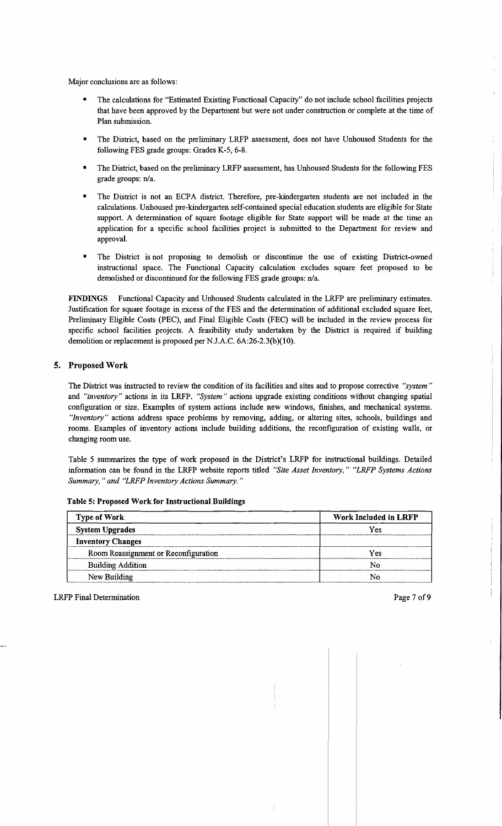Major conclusions are as follows:

- The calculations for "Estimated Existing Functional Capacity" do not include school facilities projects that have been approved by the Department but were not under construction or complete at the time of Plan submission.
- The District, based on the preliminary LRFP assessment, does not have Unhoused Students for the following FES grade groups: Grades K-5, 6-8.
- The District, based on the preliminary LRFP assessment, has Unhoused Students for the following FES grade groups: n/a.
- The District is not an ECPA district. Therefore, pre-kindergarten students are not included in the calculations. Unhoused pre-kindergarten self-contained special education students are eligible for State support. A determination of square footage eligible for State support will be made at the time an application for a specific school facilities project is submitted to the Department for review and approval.
- The District is not proposing to demolish or discontinue the use of existing District-owned instructional space. The Functional Capacity calculation excludes square feet proposed to be demolished or discontinued for the following FES grade groups: n/a.

FINDINGS Functional Capacity and Unhoused Students calculated in the LRFP are preliminary estimates. Justification for square footage in excess of the FES and the determination of additional excluded square feet, Preliminary Eligible Costs (PEC), and Final Eligible Costs (FEC) will be included in the review process for specific school facilities projects. A feasibility study undertaken by the District is required if building demolition or replacement is proposed per N.lA.C. 6A:26-2.3(b)(IO).

# 5. Proposed Work

The District was instructed to review the condition of its facilities and sites and to propose corrective *"system"*  and *"inventory"* actions in its LRFP. *"System"* actions upgrade existing conditions without changing spatial configuration or size. Examples of system actions include new windows, finishes, and mechanical systems. *"Inventory"* actions address space problems by removing, adding, or altering sites, schools, buildings and rooms. Examples of inventory actions include building additions, the reconfiguration of existing walls, or changing room use.

Table 5 summarizes the type of work proposed in the District's LRFP for instructional buildings. Detailed information can be found in the LRFP website reports titled *"Site Asset Inventory," "LRFP Systems Actions Summary,* " *and "LRFP Inventory Actions Summary. "* 

| <b>Type of Work</b>                  | <b>Work Included in LRFP</b> |  |
|--------------------------------------|------------------------------|--|
| <b>System Upgrades</b>               | Yes                          |  |
| <b>Inventory Changes</b>             |                              |  |
| Room Reassignment or Reconfiguration | Yes                          |  |
| <b>Building Addition</b>             |                              |  |
| New Building                         |                              |  |

Table 5: Proposed Work for Instructional Buildings

LRFP Final Determination **Page 7 of 9**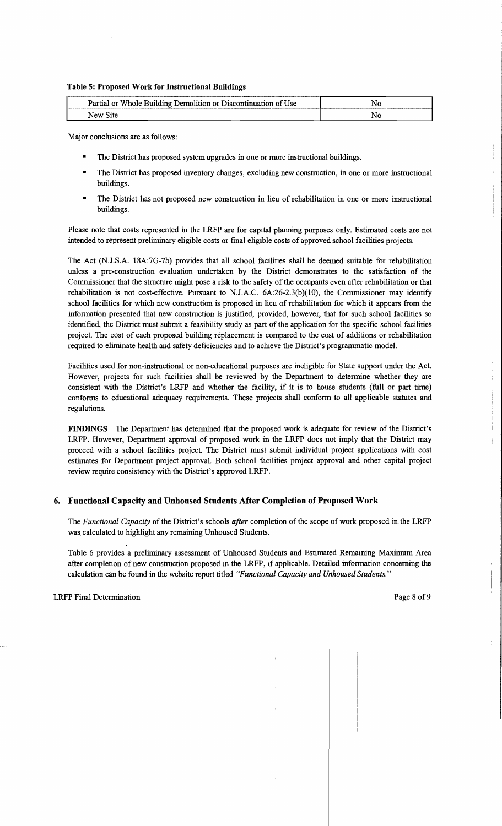#### Table 5: Proposed Work for Instructional Buildings

| Partial or Whole Building Demolition or Discontinuation of Use | N٥ |
|----------------------------------------------------------------|----|
| New Site                                                       | N٥ |

Major conclusions are as follows:

- The District has proposed system upgrades in one or more instructional buildings.
- The District has proposed inventory changes, excluding new construction, in one or more instructional buildings.
- The District has not proposed new construction in lieu of rehabilitation in one or more instructional buildings.

Please note that costs represented in the LRFP are for capital planning purposes only. Estimated costs are not intended to represent preliminary eligible costs or final eligible costs of approved school facilities projects.

The Act (NJ.S.A. 18A:7G-7b) provides that all school facilities shall be deemed suitable for rehabilitation unless a pre-construction evaluation undertaken by the District demonstrates to the satisfaction of the Commissioner that the structure might pose a risk to the safety of the occupants even after rehabilitation or that rehabilitation is not cost-effective. Pursuant to N.J.A.C.  $6A:26-2.3(b)(10)$ , the Commissioner may identify school facilities for which new construction is proposed in lieu of rehabilitation for which it appears from the information presented that new construction is justified, provided, however, that for such school facilities so identified, the District must submit a feasibility study as part of the application for the specific school facilities project. The cost of each proposed building replacement is compared to the cost of additions or rehabilitation required to eliminate health and safety deficiencies and to achieve the District's progranunatic model.

Facilities used for non-instructional or non-educational purposes are ineligible for State support under the Act. However, projects for such facilities shall be reviewed by the Department to determine whether they are consistent with the District's LRFP and whether the facility, if it is to house students (full or part time) conforms to educational adequacy requirements. These projects shall conform to all applicable statutes and regulations.

FINDINGS The Department has determined that the proposed work is adequate for review of the District's LRFP. However, Department approval of proposed work in the LRFP does not imply that the District may proceed with a school facilities project. The District must submit individual project applications with cost estimates for Department project approval. Both school facilities project approval and other capital project review require consistency with the District's approved LRFP.

# 6. Functional Capacity and Unhoused Students After Completion of Proposed Work

The *Functional Capacity* of the District's schools *after* completion of the scope of work proposed in the LRFP was. calculated to highlight any remaining Unhoused Students.

Table 6 provides a preliminary assessment of Unhoused Students and Estimated Remaining Maximum Area after completion of new construction proposed in the LRFP, if applicable. Detailed information concerning the calculation can be found in the website report titled *"Functional Capacity and Unhoused Students."* 

Ť.